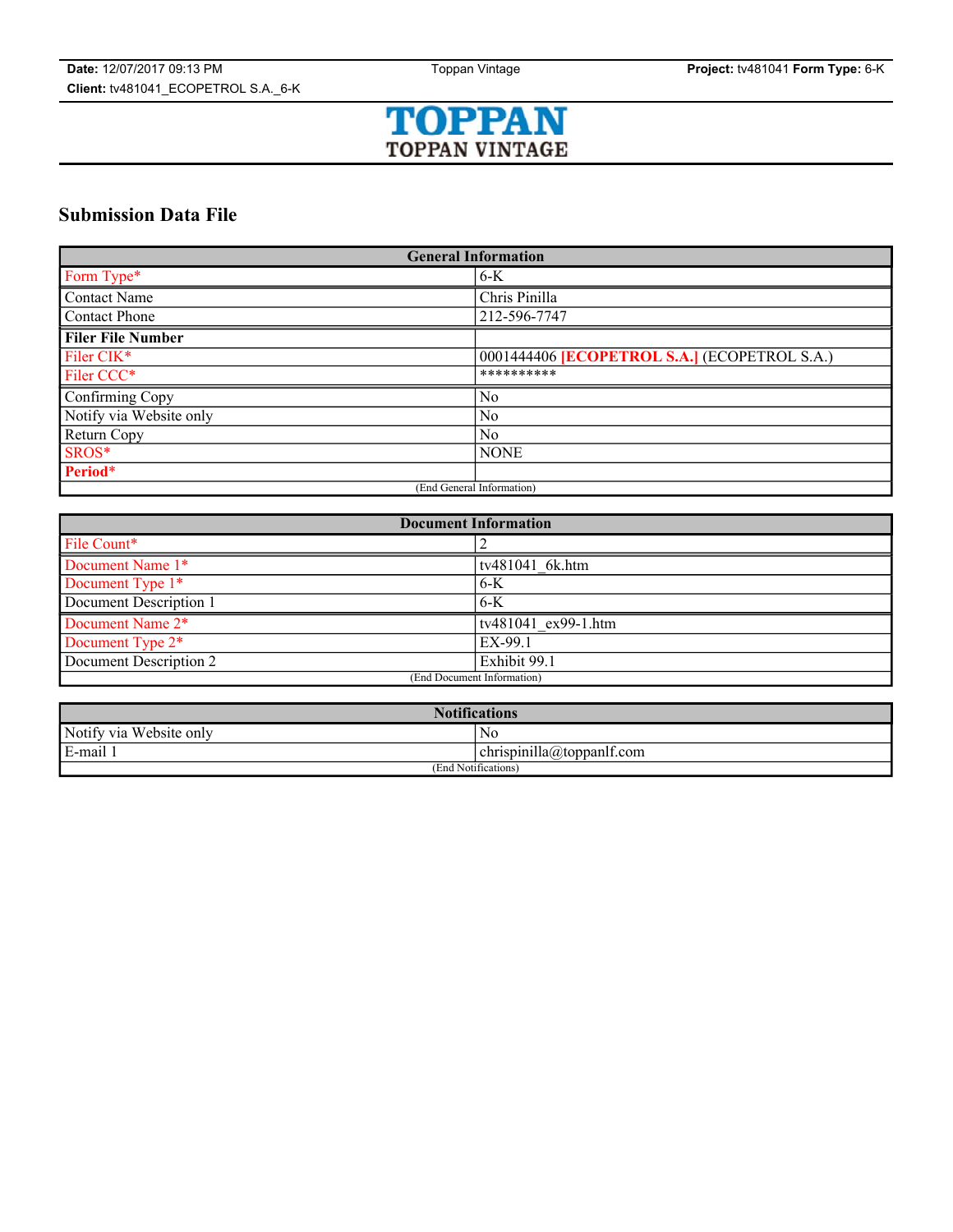

# **Submission Data File**

| <b>General Information</b> |                                                     |  |
|----------------------------|-----------------------------------------------------|--|
| Form Type*                 | $6-K$                                               |  |
| <b>Contact Name</b>        | Chris Pinilla                                       |  |
| <b>Contact Phone</b>       | 212-596-7747                                        |  |
| <b>Filer File Number</b>   |                                                     |  |
| Filer CIK*                 | 0001444406 <b>[ECOPETROL S.A.]</b> (ECOPETROL S.A.) |  |
| Filer CCC*                 | **********                                          |  |
| Confirming Copy            | No                                                  |  |
| Notify via Website only    | N <sub>0</sub>                                      |  |
| Return Copy                | No                                                  |  |
| SROS*                      | <b>NONE</b>                                         |  |
| Period*                    |                                                     |  |
| (End General Information)  |                                                     |  |

| <b>Document Information</b> |                        |  |
|-----------------------------|------------------------|--|
| File Count*                 |                        |  |
| Document Name 1*            | tv481041 6k.htm        |  |
| Document Type 1*            | $6-K$                  |  |
| Document Description 1      | $6-K$                  |  |
| Document Name 2*            | $ tv481041$ ex99-1.htm |  |
| Document Type 2*            | EX-99.1                |  |
| Document Description 2      | Exhibit 99.1           |  |
| (End Document Information)  |                        |  |

| <b>Notifications</b>       |                                       |  |
|----------------------------|---------------------------------------|--|
| Notify via<br>Website only | NC                                    |  |
| E-mail 1                   | $\cdots$<br>chrispinilla@toppanff.com |  |
| (End Notifications)        |                                       |  |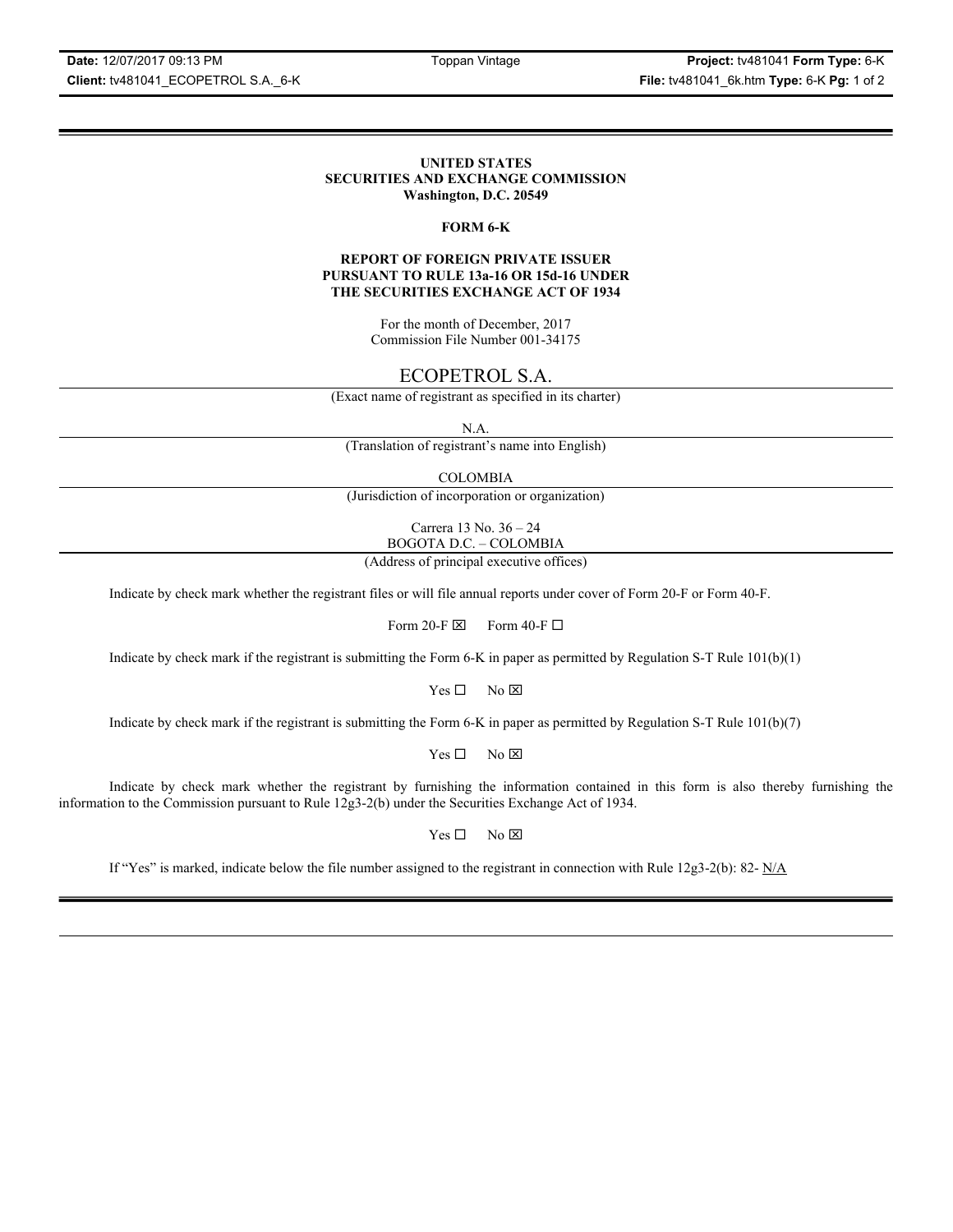**Date:** 12/07/2017 09:13 PM Toppan Vintage **Project:** tv481041 **Form Type:** 6-K **Client:** tv481041\_ECOPETROL S.A.\_6-K **File:** tv481041\_6k.htm **Type:** 6-K **Pg:** 1 of 2

## **UNITED STATES SECURITIES AND EXCHANGE COMMISSION Washington, D.C. 20549**

## **FORM 6-K**

## **REPORT OF FOREIGN PRIVATE ISSUER PURSUANT TO RULE 13a-16 OR 15d-16 UNDER THE SECURITIES EXCHANGE ACT OF 1934**

For the month of December, 2017 Commission File Number 001-34175

# ECOPETROL S.A.

(Exact name of registrant as specified in its charter)

N.A.

(Translation of registrant's name into English)

COLOMBIA

(Jurisdiction of incorporation or organization)

Carrera 13 No. 36 – 24 BOGOTA D.C. – COLOMBIA

(Address of principal executive offices)

Indicate by check mark whether the registrant files or will file annual reports under cover of Form 20-F or Form 40-F.

Form 20-F  $\boxtimes$  Form 40-F  $\Box$ 

Indicate by check mark if the registrant is submitting the Form 6-K in paper as permitted by Regulation S-T Rule 101(b)(1)

 $Yes \Box$  No  $\boxtimes$ 

Indicate by check mark if the registrant is submitting the Form 6-K in paper as permitted by Regulation S-T Rule 101(b)(7)

 $Yes \Box$  No  $\boxtimes$ 

Indicate by check mark whether the registrant by furnishing the information contained in this form is also thereby furnishing the information to the Commission pursuant to Rule 12g3-2(b) under the Securities Exchange Act of 1934.

 $Yes \Box$  No  $\boxtimes$ 

If "Yes" is marked, indicate below the file number assigned to the registrant in connection with Rule 12g3-2(b): 82-  $N/A$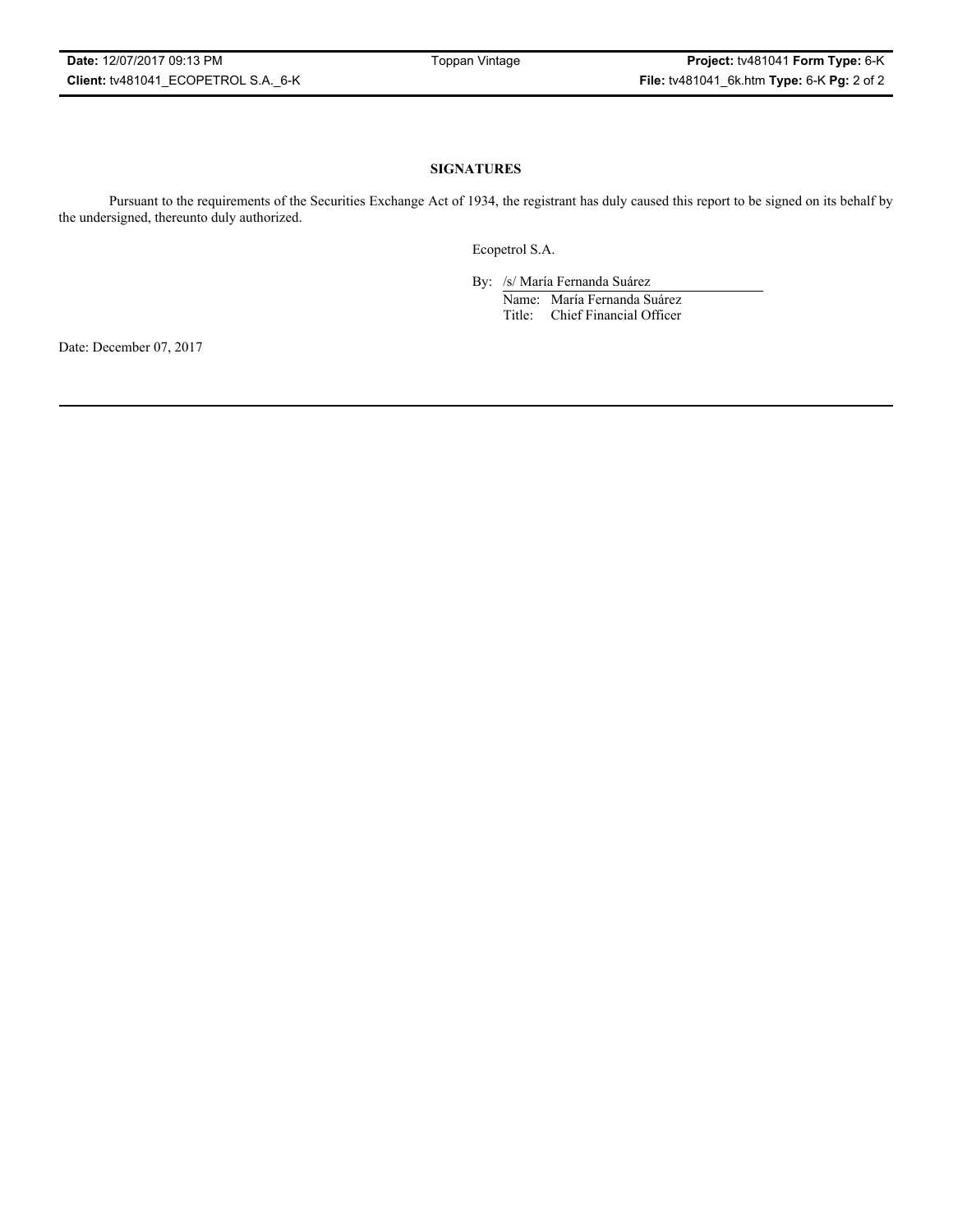# **SIGNATURES**

Pursuant to the requirements of the Securities Exchange Act of 1934, the registrant has duly caused this report to be signed on its behalf by the undersigned, thereunto duly authorized.

Ecopetrol S.A.

By: /s/ María Fernanda Suárez Name: María Fernanda Suárez Title: Chief Financial Officer

Date: December 07, 2017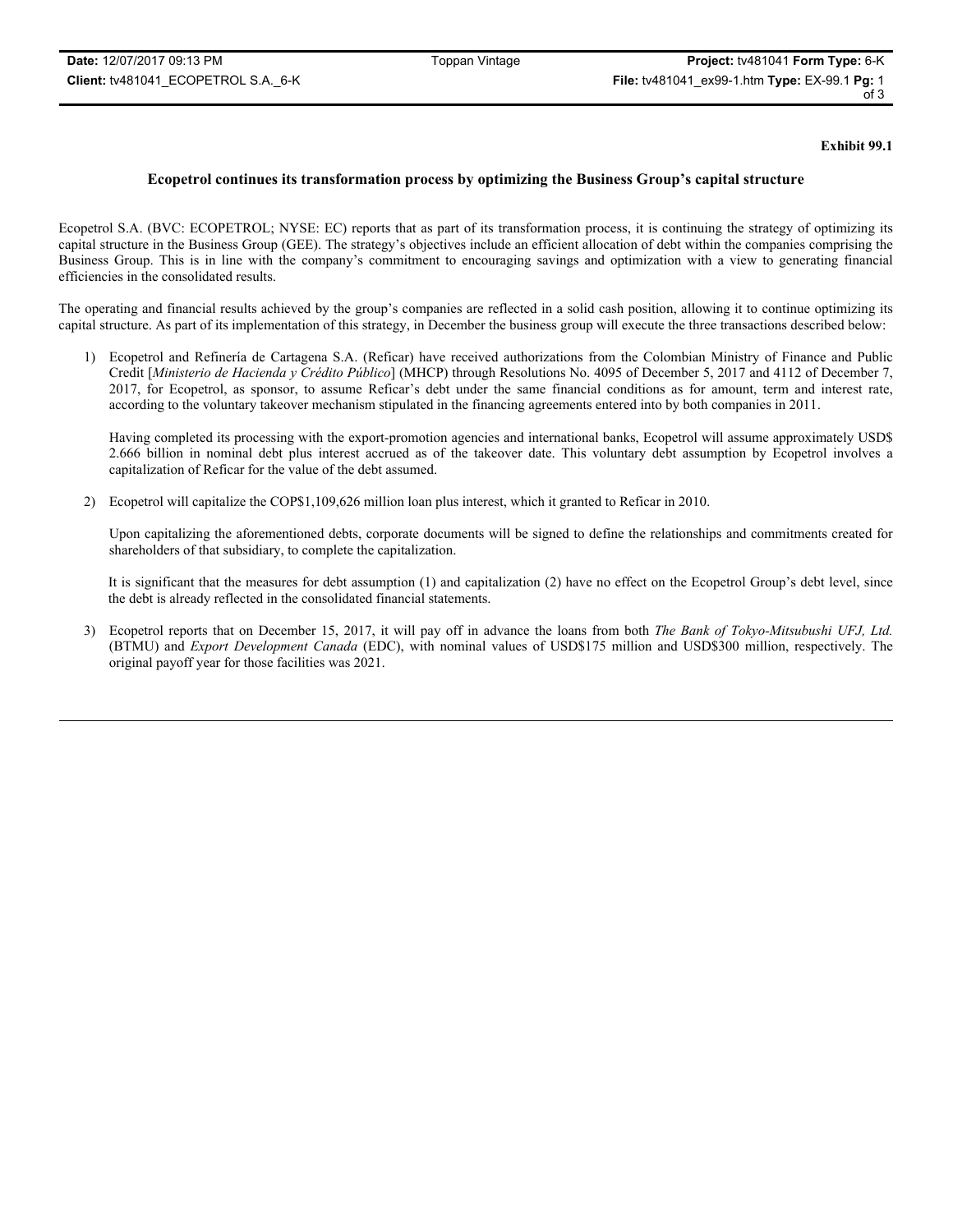## **Exhibit 99.1**

# **Ecopetrol continues its transformation process by optimizing the Business Group's capital structure**

Ecopetrol S.A. (BVC: ECOPETROL; NYSE: EC) reports that as part of its transformation process, it is continuing the strategy of optimizing its capital structure in the Business Group (GEE). The strategy's objectives include an efficient allocation of debt within the companies comprising the Business Group. This is in line with the company's commitment to encouraging savings and optimization with a view to generating financial efficiencies in the consolidated results.

The operating and financial results achieved by the group's companies are reflected in a solid cash position, allowing it to continue optimizing its capital structure. As part of its implementation of this strategy, in December the business group will execute the three transactions described below:

1) Ecopetrol and Refinería de Cartagena S.A. (Reficar) have received authorizations from the Colombian Ministry of Finance and Public Credit [*Ministerio de Hacienda y Crédito Público*] (MHCP) through Resolutions No. 4095 of December 5, 2017 and 4112 of December 7, 2017, for Ecopetrol, as sponsor, to assume Reficar's debt under the same financial conditions as for amount, term and interest rate, according to the voluntary takeover mechanism stipulated in the financing agreements entered into by both companies in 2011.

Having completed its processing with the export-promotion agencies and international banks, Ecopetrol will assume approximately USD\$ 2.666 billion in nominal debt plus interest accrued as of the takeover date. This voluntary debt assumption by Ecopetrol involves a capitalization of Reficar for the value of the debt assumed.

2) Ecopetrol will capitalize the COP\$1,109,626 million loan plus interest, which it granted to Reficar in 2010.

Upon capitalizing the aforementioned debts, corporate documents will be signed to define the relationships and commitments created for shareholders of that subsidiary, to complete the capitalization.

It is significant that the measures for debt assumption (1) and capitalization (2) have no effect on the Ecopetrol Group's debt level, since the debt is already reflected in the consolidated financial statements.

3) Ecopetrol reports that on December 15, 2017, it will pay off in advance the loans from both *The Bank of Tokyo-Mitsubushi UFJ, Ltd.*  (BTMU) and *Export Development Canada* (EDC), with nominal values of USD\$175 million and USD\$300 million, respectively. The original payoff year for those facilities was 2021.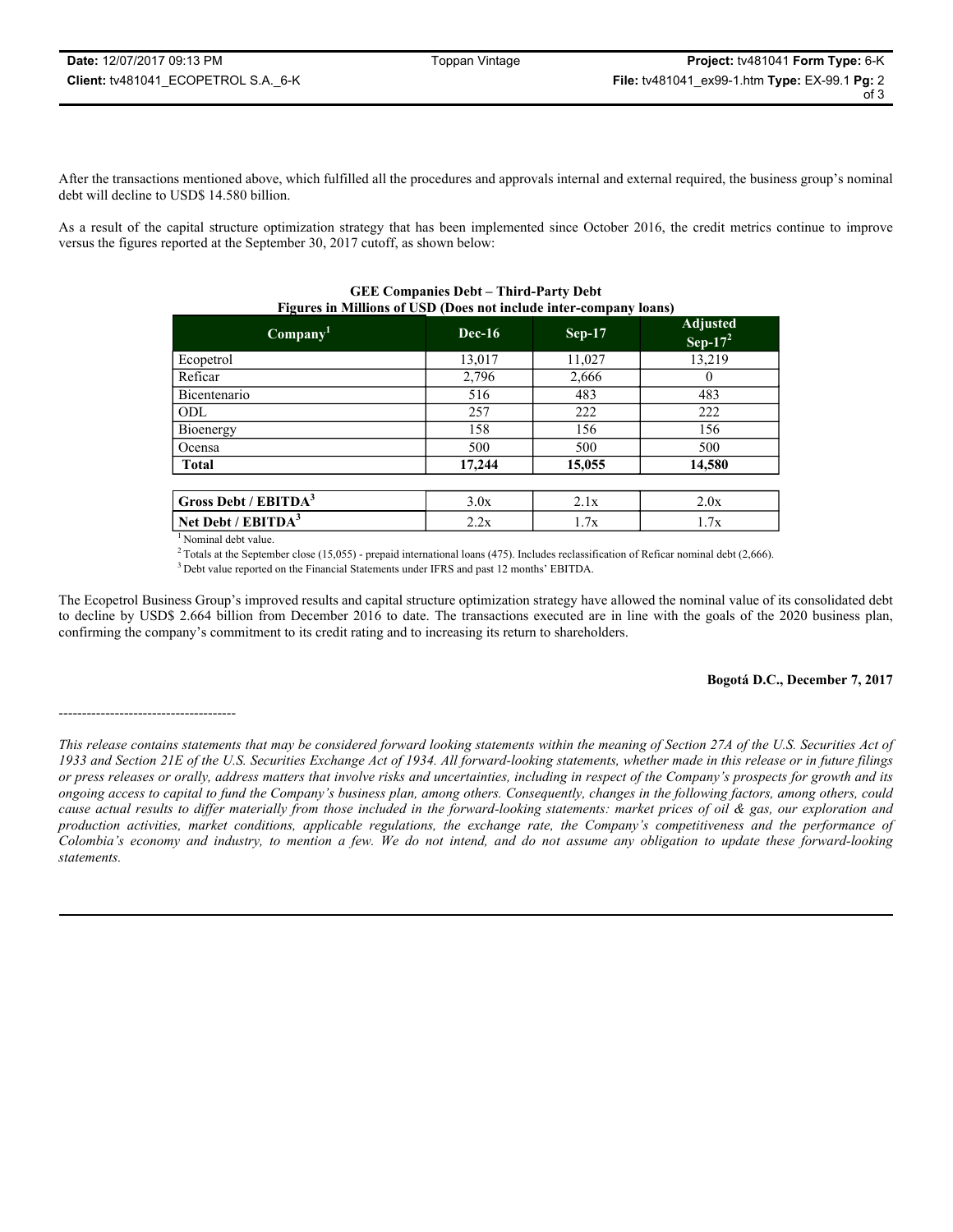After the transactions mentioned above, which fulfilled all the procedures and approvals internal and external required, the business group's nominal debt will decline to USD\$ 14.580 billion.

As a result of the capital structure optimization strategy that has been implemented since October 2016, the credit metrics continue to improve versus the figures reported at the September 30, 2017 cutoff, as shown below:

| - - - - - - - - -<br>Company <sup>1</sup> | $Dec-16$ | <b>Sep-17</b> | <b>Adjusted</b><br>Sep- $17^2$ |
|-------------------------------------------|----------|---------------|--------------------------------|
| Ecopetrol                                 | 13,017   | 11,027        | 13,219                         |
| Reficar                                   | 2,796    | 2,666         | $\theta$                       |
| Bicentenario                              | 516      | 483           | 483                            |
| ODL                                       | 257      | 222           | 222                            |
| Bioenergy                                 | 158      | 156           | 156                            |
| Ocensa                                    | 500      | 500           | 500                            |
| <b>Total</b>                              | 17,244   | 15,055        | 14,580                         |
|                                           |          |               |                                |
| Gross Debt / EBITDA <sup>3</sup>          | 3.0x     | 2.1x          | 2.0x                           |

| <b>GEE Companies Debt – Third-Party Debt</b>                             |
|--------------------------------------------------------------------------|
| <b>Figures in Millions of USD (Does not include inter-company loans)</b> |

<sup>1</sup> Nominal debt value.

 $2$  Totals at the September close (15,055) - prepaid international loans (475). Includes reclassification of Reficar nominal debt (2,666).

**Net Debt / EBITDA<sup>3</sup>** 2.2x 1.7x 1.7x 1.7x

3 Debt value reported on the Financial Statements under IFRS and past 12 months' EBITDA.

The Ecopetrol Business Group's improved results and capital structure optimization strategy have allowed the nominal value of its consolidated debt to decline by USD\$ 2.664 billion from December 2016 to date. The transactions executed are in line with the goals of the 2020 business plan, confirming the company's commitment to its credit rating and to increasing its return to shareholders.

## **Bogotá D.C., December 7, 2017**

<sup>--------------------------------------</sup>

*This release contains statements that may be considered forward looking statements within the meaning of Section 27A of the U.S. Securities Act of 1933 and Section 21E of the U.S. Securities Exchange Act of 1934. All forward-looking statements, whether made in this release or in future filings or press releases or orally, address matters that involve risks and uncertainties, including in respect of the Company's prospects for growth and its ongoing access to capital to fund the Company's business plan, among others. Consequently, changes in the following factors, among others, could cause actual results to differ materially from those included in the forward-looking statements: market prices of oil & gas, our exploration and production activities, market conditions, applicable regulations, the exchange rate, the Company's competitiveness and the performance of Colombia's economy and industry, to mention a few. We do not intend, and do not assume any obligation to update these forward-looking statements.*